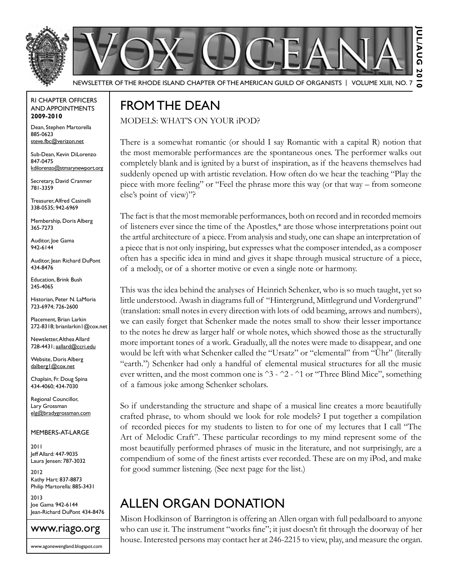



Newsletter of the Rhode Island Chapter of the American Guild of OrganistS | Volume XLIII, No. 7

#### RI Chapter Officers and Appointments **2009-2010**

Dean, Stephen Martorella 885-0623 steve.fbc@verizon.net

Sub-Dean, Kevin DiLorenzo 847-0475 kdilorenzo@stmarynewport.org

Secretary, David Cranmer 781-3359

Treasurer, Alfred Casinelli 338-0535; 942-6969

Membership, Doris Alberg 365-7273

Auditor, Joe Gama 942-6144

Auditor, Jean Richard DuPont 434-8476

Education, Brink Bush 245-4065

Historian, Peter N. LaMoria 723-6974; 726-2600

Placement, Brian Larkin 272-8318; brianlarkin1@cox.net

Newsletter, Althea Allard 728-4431; aallard@ccri.edu

Website, Doris Alberg dalberg1@cox.net

Chaplain, Fr. Doug Spina 434-4060; 434-7030

Regional Councillor, Lary Grossman elg@bradygrossman.com

Members-at-Large

2011 Jeff Allard: 447-9035 Laura Jensen: 787-3032

2012 Kathy Hart: 837-8873 Philip Martorella: 885-3431

2013 Joe Gama 942-6144 Jean-Richard DuPont 434-8476



### FROMTHE DEAN

MODELS: WHAT'S ON YOUR iPOD?

There is a somewhat romantic (or should I say Romantic with a capital R) notion that the most memorable performances are the spontaneous ones. The performer walks out completely blank and is ignited by a burst of inspiration, as if the heavens themselves had suddenly opened up with artistic revelation. How often do we hear the teaching "Play the piece with more feeling" or "Feel the phrase more this way (or that way – from someone else's point of view)"?

5

The fact is that the most memorable performances, both on record and in recorded memoirs of listeners ever since the time of the Apostles,\* are those whose interpretations point out the artful architecture of a piece. From analysis and study, one can shape an interpretation of a piece that is not only inspiring, but expresses what the composer intended, as a composer often has a specific idea in mind and gives it shape through musical structure of a piece, of a melody, or of a shorter motive or even a single note or harmony.

This was the idea behind the analyses of Heinrich Schenker, who is so much taught, yet so little understood. Awash in diagrams full of "Hintergrund, Mittlegrund und Vordergrund" (translation: small notes in every direction with lots of odd beaming, arrows and numbers), we can easily forget that Schenker made the notes small to show their lesser importance to the notes he drew as larger half or whole notes, which showed those as the structurally more important tones of a work. Gradually, all the notes were made to disappear, and one would be left with what Schenker called the "Ursatz" or "elemental" from "Ühr" (literally "earth.") Schenker had only a handful of elemental musical structures for all the music ever written, and the most common one is ^3 - ^2 - ^1 or "Three Blind Mice", something of a famous joke among Schenker scholars.

So if understanding the structure and shape of a musical line creates a more beautifully crafted phrase, to whom should we look for role models? I put together a compilation of recorded pieces for my students to listen to for one of my lectures that I call "The Art of Melodic Craft". These particular recordings to my mind represent some of the most beautifully performed phrases of music in the literature, and not surprisingly, are a compendium of some of the finest artists ever recorded. These are on my iPod, and make for good summer listening. (See next page for the list.)

### Allen Organ Donation

Mison Hodkinson of Barrington is offering an Allen organ with full pedalboard to anyone who can use it. The instrument "works fine"; it just doesn't fit through the doorway of her house. Interested persons may contact her at 246-2215 to view, play, and measure the organ.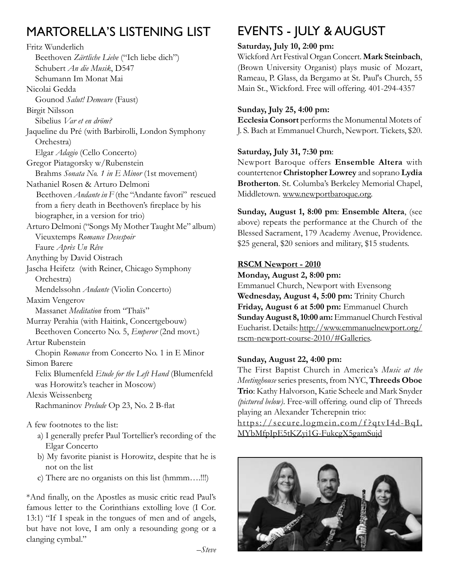## Martorella's listening list

Fritz Wunderlich Beethoven *Zärtliche Liebe* ("Ich liebe dich") Schubert *An die Musik*, D547 Schumann Im Monat Mai Nicolai Gedda Gounod *Salut! Demeure* (Faust) Birgit Nilsson Sibelius *Var et en dröm?*  Jaqueline du Pré (with Barbirolli, London Symphony Orchestra) Elgar *Adagio* (Cello Concerto) Gregor Piatagorsky w/Rubenstein Brahms *Sonata No. 1 in E Minor* (1st movement) Nathaniel Rosen & Arturo Delmoni Beethoven *Andante in* F (the "Andante favori" rescued from a fiery death in Beethoven's fireplace by his biographer, in a version for trio) Arturo Delmoni ("Songs My Mother Taught Me" album) Vieuxtemps *Romance Desespoir* Faure *Après Un Rêve* Anything by David Oistrach Jascha Heifetz (with Reiner, Chicago Symphony Orchestra) Mendelssohn *Andante* (Violin Concerto) Maxim Vengerov Massanet *Meditation* from "Thaïs" Murray Perahia (with Haitink, Concertgebouw) Beethoven Concerto No. 5, *Emperor* (2nd movt.) Artur Rubenstein Chopin *Romance* from Concerto No. 1 in E Minor Simon Barere Felix Blumenfeld *Etude for the Left Hand* (Blumenfeld was Horowitz's teacher in Moscow) Alexis Weissenberg Rachmaninov *Prelude* Op 23, No. 2 B-flat A few footnotes to the list:

- a) I generally prefer Paul Tortellier's recording of the Elgar Concerto
- b) My favorite pianist is Horowitz, despite that he is not on the list
- c) There are no organists on this list (hmmm….!!!)

\*And finally, on the Apostles as music critic read Paul's famous letter to the Corinthians extolling love (I Cor. 13:1) "If I speak in the tongues of men and of angels, but have not love, I am only a resounding gong or a clanging cymbal."

## EVENTS - JULY & AUGUST

#### **Saturday, July 10, 2:00 pm:**

Wickford Art Festival Organ Concert. **Mark Steinbach**, (Brown University Organist) plays music of Mozart, Rameau, P. Glass, da Bergamo at St. Paul's Church, 55 Main St., Wickford. Free will offering. 401-294-4357

#### **Sunday, July 25, 4:00 pm:**

**Ecclesia Consort** performs the Monumental Motets of J. S. Bach at Emmanuel Church, Newport. Tickets, \$20.

#### **Saturday, July 31, 7:30 pm**:

Newport Baroque offers **Ensemble Altera** with countertenor **Christopher Lowrey** and soprano **Lydia Brotherton**. St. Columba's Berkeley Memorial Chapel, Middletown. www.newportbaroque.org.

**Sunday, August 1, 8:00 pm**: **Ensemble Altera**, (see above) repeats the performance at the Church of the Blessed Sacrament, 179 Academy Avenue, Providence. \$25 general, \$20 seniors and military, \$15 students.

#### **RSCM Newport - 2010**

**Monday, August 2, 8:00 pm:**

Emmanuel Church, Newport with Evensong **Wednesday, August 4, 5:00 pm:** Trinity Church **Friday, August 6 at 5:00 pm:** Emmanuel Church **Sunday August 8, 10:00 am:** Emmanuel Church Festival Eucharist. Details: http://www.emmanuelnewport.org/ rscm-newport-course-2010/#Galleries.

#### **Sunday, August 22, 4:00 pm:**

The First Baptist Church in America's *Music at the Meetinghouse* series presents, from NYC, **Threeds Oboe Trio**: Kathy Halvorson, Katie Scheele and Mark Snyder *(pictured below)*. Free-will offering. ound clip of Threeds playing an Alexander Tcherepnin trio:

https://secure.logmein.com/f ?qtvI4d-BqI. MYbMfpIpE5tKZyi1G-FukcgX5gamSujd